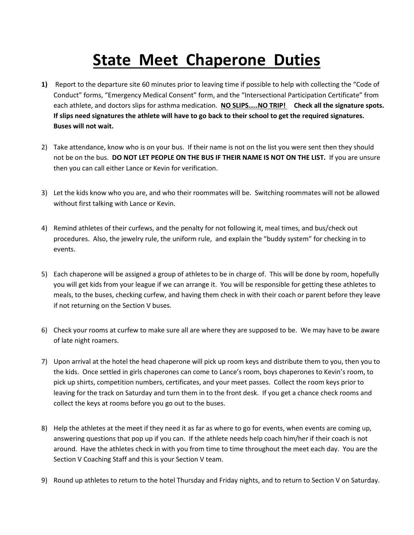## **State Meet Chaperone Duties**

- **1)** Report to the departure site 60 minutes prior to leaving time if possible to help with collecting the "Code of Conduct" forms, "Emergency Medical Consent" form, and the "Intersectional Participation Certificate" from each athlete, and doctors slips for asthma medication. **NO SLIPS…..NO TRIP! Check all the signature spots. If slips need signatures the athlete will have to go back to their school to get the required signatures. Buses will not wait.**
- 2) Take attendance, know who is on your bus. If their name is not on the list you were sent then they should not be on the bus. **DO NOT LET PEOPLE ON THE BUS IF THEIR NAME IS NOT ON THE LIST.** If you are unsure then you can call either Lance or Kevin for verification.
- 3) Let the kids know who you are, and who their roommates will be. Switching roommates will not be allowed without first talking with Lance or Kevin.
- 4) Remind athletes of their curfews, and the penalty for not following it, meal times, and bus/check out procedures. Also, the jewelry rule, the uniform rule, and explain the "buddy system" for checking in to events.
- 5) Each chaperone will be assigned a group of athletes to be in charge of. This will be done by room, hopefully you will get kids from your league if we can arrange it. You will be responsible for getting these athletes to meals, to the buses, checking curfew, and having them check in with their coach or parent before they leave if not returning on the Section V buses.
- 6) Check your rooms at curfew to make sure all are where they are supposed to be. We may have to be aware of late night roamers.
- 7) Upon arrival at the hotel the head chaperone will pick up room keys and distribute them to you, then you to the kids. Once settled in girls chaperones can come to Lance's room, boys chaperones to Kevin's room, to pick up shirts, competition numbers, certificates, and your meet passes. Collect the room keys prior to leaving for the track on Saturday and turn them in to the front desk. If you get a chance check rooms and collect the keys at rooms before you go out to the buses.
- 8) Help the athletes at the meet if they need it as far as where to go for events, when events are coming up, answering questions that pop up if you can. If the athlete needs help coach him/her if their coach is not around. Have the athletes check in with you from time to time throughout the meet each day. You are the Section V Coaching Staff and this is your Section V team.
- 9) Round up athletes to return to the hotel Thursday and Friday nights, and to return to Section V on Saturday.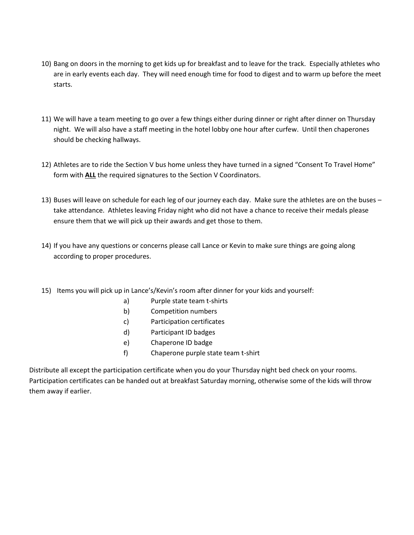- 10) Bang on doors in the morning to get kids up for breakfast and to leave for the track. Especially athletes who are in early events each day. They will need enough time for food to digest and to warm up before the meet starts.
- 11) We will have a team meeting to go over a few things either during dinner or right after dinner on Thursday night. We will also have a staff meeting in the hotel lobby one hour after curfew. Until then chaperones should be checking hallways.
- 12) Athletes are to ride the Section V bus home unless they have turned in a signed "Consent To Travel Home" form with **ALL** the required signatures to the Section V Coordinators.
- 13) Buses will leave on schedule for each leg of our journey each day. Make sure the athletes are on the buses take attendance. Athletes leaving Friday night who did not have a chance to receive their medals please ensure them that we will pick up their awards and get those to them.
- 14) If you have any questions or concerns please call Lance or Kevin to make sure things are going along according to proper procedures.
- 15) Items you will pick up in Lance's/Kevin's room after dinner for your kids and yourself:
	- a) Purple state team t-shirts
	- b) Competition numbers
	- c) Participation certificates
	- d) Participant ID badges
	- e) Chaperone ID badge
	- f) Chaperone purple state team t-shirt

Distribute all except the participation certificate when you do your Thursday night bed check on your rooms. Participation certificates can be handed out at breakfast Saturday morning, otherwise some of the kids will throw them away if earlier.